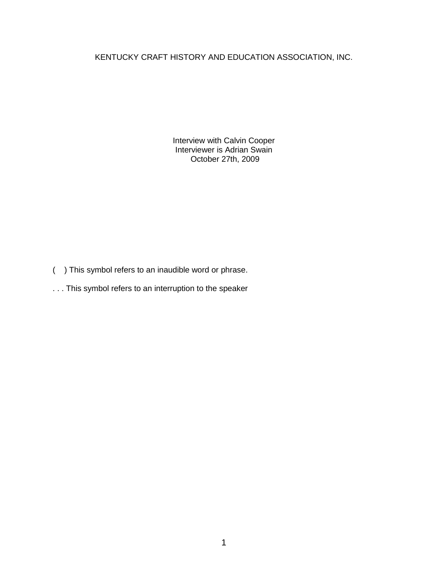KENTUCKY CRAFT HISTORY AND EDUCATION ASSOCIATION, INC.

Interview with Calvin Cooper Interviewer is Adrian Swain October 27th, 2009

- ( ) This symbol refers to an inaudible word or phrase.
- . . . This symbol refers to an interruption to the speaker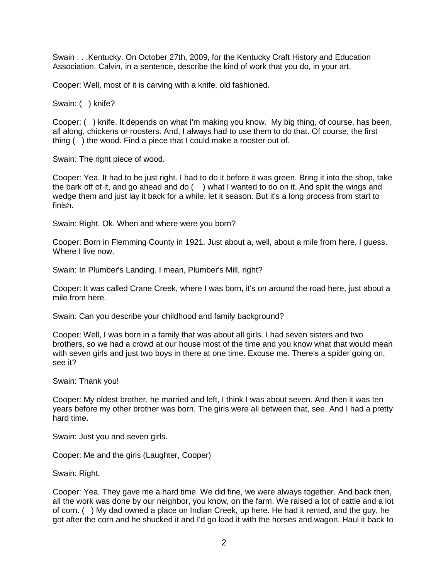Swain . . .Kentucky. On October 27th, 2009, for the Kentucky Craft History and Education Association. Calvin, in a sentence, describe the kind of work that you do, in your art.

Cooper: Well, most of it is carving with a knife, old fashioned.

Swain: ( ) knife?

Cooper: ( ) knife. It depends on what I'm making you know. My big thing, of course, has been, all along, chickens or roosters. And, I always had to use them to do that. Of course, the first thing ( ) the wood. Find a piece that I could make a rooster out of.

Swain: The right piece of wood.

Cooper: Yea. It had to be just right. I had to do it before it was green. Bring it into the shop, take the bark off of it, and go ahead and do ( ) what I wanted to do on it. And split the wings and wedge them and just lay it back for a while, let it season. But it's a long process from start to finish.

Swain: Right. Ok. When and where were you born?

Cooper: Born in Flemming County in 1921. Just about a, well, about a mile from here, I guess. Where I live now.

Swain: In Plumber's Landing. I mean, Plumber's Mill, right?

Cooper: It was called Crane Creek, where I was born, it's on around the road here, just about a mile from here.

Swain: Can you describe your childhood and family background?

Cooper: Well, I was born in a family that was about all girls. I had seven sisters and two brothers, so we had a crowd at our house most of the time and you know what that would mean with seven girls and just two boys in there at one time. Excuse me. There's a spider going on, see it?

Swain: Thank you!

Cooper: My oldest brother, he married and left, I think I was about seven. And then it was ten years before my other brother was born. The girls were all between that, see. And I had a pretty hard time.

Swain: Just you and seven girls.

Cooper: Me and the girls (Laughter, Cooper)

Swain: Right.

Cooper: Yea. They gave me a hard time. We did fine, we were always together. And back then, all the work was done by our neighbor, you know, on the farm. We raised a lot of cattle and a lot of corn. ( ) My dad owned a place on Indian Creek, up here. He had it rented, and the guy, he got after the corn and he shucked it and I'd go load it with the horses and wagon. Haul it back to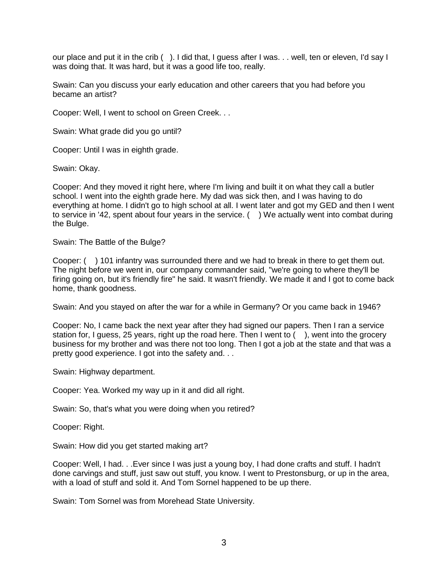our place and put it in the crib (). I did that, I guess after I was. . . well, ten or eleven, I'd say I was doing that. It was hard, but it was a good life too, really.

Swain: Can you discuss your early education and other careers that you had before you became an artist?

Cooper: Well, I went to school on Green Creek. . .

Swain: What grade did you go until?

Cooper: Until I was in eighth grade.

Swain: Okay.

Cooper: And they moved it right here, where I'm living and built it on what they call a butler school. I went into the eighth grade here. My dad was sick then, and I was having to do everything at home. I didn't go to high school at all. I went later and got my GED and then I went to service in '42, spent about four years in the service. ( ) We actually went into combat during the Bulge.

Swain: The Battle of the Bulge?

Cooper: ( ) 101 infantry was surrounded there and we had to break in there to get them out. The night before we went in, our company commander said, "we're going to where they'll be firing going on, but it's friendly fire" he said. It wasn't friendly. We made it and I got to come back home, thank goodness.

Swain: And you stayed on after the war for a while in Germany? Or you came back in 1946?

Cooper: No, I came back the next year after they had signed our papers. Then I ran a service station for, I guess, 25 years, right up the road here. Then I went to  $($ ), went into the grocery business for my brother and was there not too long. Then I got a job at the state and that was a pretty good experience. I got into the safety and. . .

Swain: Highway department.

Cooper: Yea. Worked my way up in it and did all right.

Swain: So, that's what you were doing when you retired?

Cooper: Right.

Swain: How did you get started making art?

Cooper: Well, I had. . .Ever since I was just a young boy, I had done crafts and stuff. I hadn't done carvings and stuff, just saw out stuff, you know. I went to Prestonsburg, or up in the area, with a load of stuff and sold it. And Tom Sornel happened to be up there.

Swain: Tom Sornel was from Morehead State University.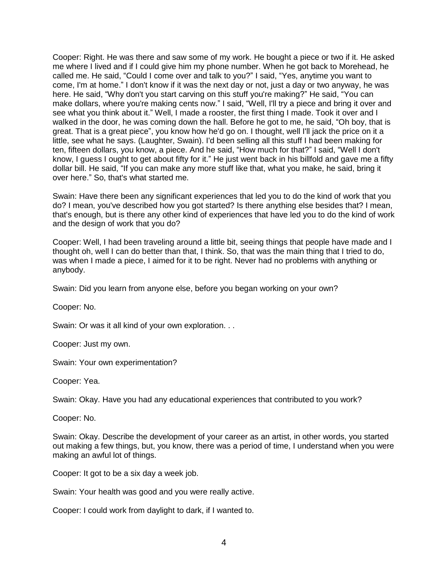Cooper: Right. He was there and saw some of my work. He bought a piece or two if it. He asked me where I lived and if I could give him my phone number. When he got back to Morehead, he called me. He said, "Could I come over and talk to you?" I said, "Yes, anytime you want to come, I'm at home." I don't know if it was the next day or not, just a day or two anyway, he was here. He said, "Why don't you start carving on this stuff you're making?" He said, "You can make dollars, where you're making cents now." I said, "Well, I'll try a piece and bring it over and see what you think about it." Well, I made a rooster, the first thing I made. Took it over and I walked in the door, he was coming down the hall. Before he got to me, he said, "Oh boy, that is great. That is a great piece", you know how he'd go on. I thought, well I'll jack the price on it a little, see what he says. (Laughter, Swain). I'd been selling all this stuff I had been making for ten, fifteen dollars, you know, a piece. And he said, "How much for that?" I said, "Well I don't know, I guess I ought to get about fifty for it." He just went back in his billfold and gave me a fifty dollar bill. He said, "If you can make any more stuff like that, what you make, he said, bring it over here." So, that's what started me.

Swain: Have there been any significant experiences that led you to do the kind of work that you do? I mean, you've described how you got started? Is there anything else besides that? I mean, that's enough, but is there any other kind of experiences that have led you to do the kind of work and the design of work that you do?

Cooper: Well, I had been traveling around a little bit, seeing things that people have made and I thought oh, well I can do better than that, I think. So, that was the main thing that I tried to do, was when I made a piece, I aimed for it to be right. Never had no problems with anything or anybody.

Swain: Did you learn from anyone else, before you began working on your own?

Cooper: No.

Swain: Or was it all kind of your own exploration. . .

Cooper: Just my own.

Swain: Your own experimentation?

Cooper: Yea.

Swain: Okay. Have you had any educational experiences that contributed to you work?

Cooper: No.

Swain: Okay. Describe the development of your career as an artist, in other words, you started out making a few things, but, you know, there was a period of time, I understand when you were making an awful lot of things.

Cooper: It got to be a six day a week job.

Swain: Your health was good and you were really active.

Cooper: I could work from daylight to dark, if I wanted to.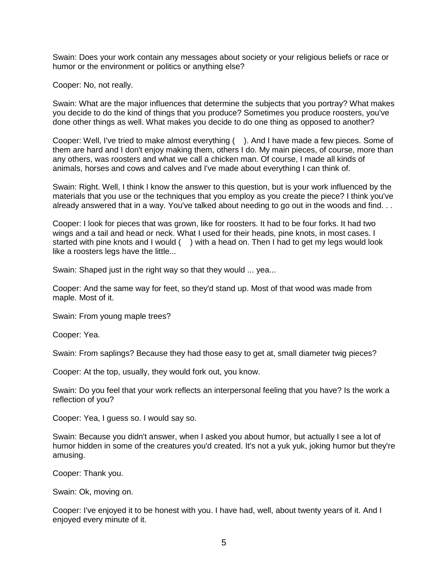Swain: Does your work contain any messages about society or your religious beliefs or race or humor or the environment or politics or anything else?

Cooper: No, not really.

Swain: What are the major influences that determine the subjects that you portray? What makes you decide to do the kind of things that you produce? Sometimes you produce roosters, you've done other things as well. What makes you decide to do one thing as opposed to another?

Cooper: Well, I've tried to make almost everything ( ). And I have made a few pieces. Some of them are hard and I don't enjoy making them, others I do. My main pieces, of course, more than any others, was roosters and what we call a chicken man. Of course, I made all kinds of animals, horses and cows and calves and I've made about everything I can think of.

Swain: Right. Well, I think I know the answer to this question, but is your work influenced by the materials that you use or the techniques that you employ as you create the piece? I think you've already answered that in a way. You've talked about needing to go out in the woods and find. . .

Cooper: I look for pieces that was grown, like for roosters. It had to be four forks. It had two wings and a tail and head or neck. What I used for their heads, pine knots, in most cases. I started with pine knots and I would () with a head on. Then I had to get my legs would look like a roosters legs have the little...

Swain: Shaped just in the right way so that they would ... yea...

Cooper: And the same way for feet, so they'd stand up. Most of that wood was made from maple. Most of it.

Swain: From young maple trees?

Cooper: Yea.

Swain: From saplings? Because they had those easy to get at, small diameter twig pieces?

Cooper: At the top, usually, they would fork out, you know.

Swain: Do you feel that your work reflects an interpersonal feeling that you have? Is the work a reflection of you?

Cooper: Yea, I guess so. I would say so.

Swain: Because you didn't answer, when I asked you about humor, but actually I see a lot of humor hidden in some of the creatures you'd created. It's not a yuk yuk, joking humor but they're amusing.

Cooper: Thank you.

Swain: Ok, moving on.

Cooper: I've enjoyed it to be honest with you. I have had, well, about twenty years of it. And I enjoyed every minute of it.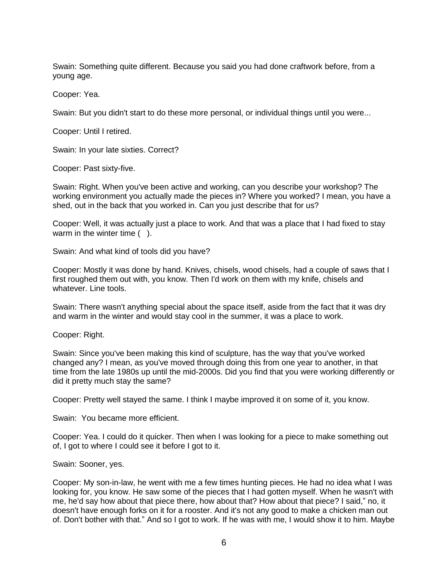Swain: Something quite different. Because you said you had done craftwork before, from a young age.

Cooper: Yea.

Swain: But you didn't start to do these more personal, or individual things until you were...

Cooper: Until I retired.

Swain: In your late sixties. Correct?

Cooper: Past sixty-five.

Swain: Right. When you've been active and working, can you describe your workshop? The working environment you actually made the pieces in? Where you worked? I mean, you have a shed, out in the back that you worked in. Can you just describe that for us?

Cooper: Well, it was actually just a place to work. And that was a place that I had fixed to stay warm in the winter time ( ).

Swain: And what kind of tools did you have?

Cooper: Mostly it was done by hand. Knives, chisels, wood chisels, had a couple of saws that I first roughed them out with, you know. Then I'd work on them with my knife, chisels and whatever. Line tools.

Swain: There wasn't anything special about the space itself, aside from the fact that it was dry and warm in the winter and would stay cool in the summer, it was a place to work.

Cooper: Right.

Swain: Since you've been making this kind of sculpture, has the way that you've worked changed any? I mean, as you've moved through doing this from one year to another, in that time from the late 1980s up until the mid-2000s. Did you find that you were working differently or did it pretty much stay the same?

Cooper: Pretty well stayed the same. I think I maybe improved it on some of it, you know.

Swain: You became more efficient.

Cooper: Yea. I could do it quicker. Then when I was looking for a piece to make something out of, I got to where I could see it before I got to it.

Swain: Sooner, yes.

Cooper: My son-in-law, he went with me a few times hunting pieces. He had no idea what I was looking for, you know. He saw some of the pieces that I had gotten myself. When he wasn't with me, he'd say how about that piece there, how about that? How about that piece? I said," no, it doesn't have enough forks on it for a rooster. And it's not any good to make a chicken man out of. Don't bother with that." And so I got to work. If he was with me, I would show it to him. Maybe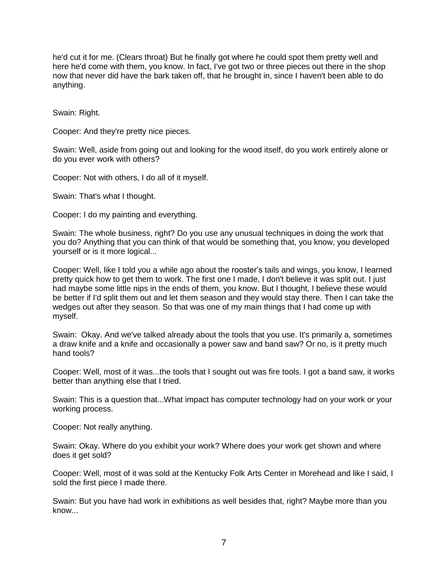he'd cut it for me. (Clears throat) But he finally got where he could spot them pretty well and here he'd come with them, you know. In fact, I've got two or three pieces out there in the shop now that never did have the bark taken off, that he brought in, since I haven't been able to do anything.

Swain: Right.

Cooper: And they're pretty nice pieces.

Swain: Well, aside from going out and looking for the wood itself, do you work entirely alone or do you ever work with others?

Cooper: Not with others, I do all of it myself.

Swain: That's what I thought.

Cooper: I do my painting and everything.

Swain: The whole business, right? Do you use any unusual techniques in doing the work that you do? Anything that you can think of that would be something that, you know, you developed yourself or is it more logical...

Cooper: Well, like I told you a while ago about the rooster's tails and wings, you know, I learned pretty quick how to get them to work. The first one I made, I don't believe it was split out. I just had maybe some little nips in the ends of them, you know. But I thought, I believe these would be better if I'd split them out and let them season and they would stay there. Then I can take the wedges out after they season. So that was one of my main things that I had come up with myself.

Swain: Okay. And we've talked already about the tools that you use. It's primarily a, sometimes a draw knife and a knife and occasionally a power saw and band saw? Or no, is it pretty much hand tools?

Cooper: Well, most of it was...the tools that I sought out was fire tools. I got a band saw, it works better than anything else that I tried.

Swain: This is a question that...What impact has computer technology had on your work or your working process.

Cooper: Not really anything.

Swain: Okay. Where do you exhibit your work? Where does your work get shown and where does it get sold?

Cooper: Well, most of it was sold at the Kentucky Folk Arts Center in Morehead and like I said, I sold the first piece I made there.

Swain: But you have had work in exhibitions as well besides that, right? Maybe more than you know...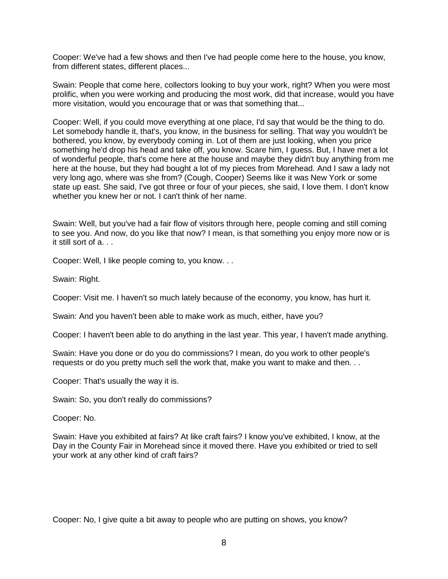Cooper: We've had a few shows and then I've had people come here to the house, you know, from different states, different places...

Swain: People that come here, collectors looking to buy your work, right? When you were most prolific, when you were working and producing the most work, did that increase, would you have more visitation, would you encourage that or was that something that...

Cooper: Well, if you could move everything at one place, I'd say that would be the thing to do. Let somebody handle it, that's, you know, in the business for selling. That way you wouldn't be bothered, you know, by everybody coming in. Lot of them are just looking, when you price something he'd drop his head and take off, you know. Scare him, I guess. But, I have met a lot of wonderful people, that's come here at the house and maybe they didn't buy anything from me here at the house, but they had bought a lot of my pieces from Morehead. And I saw a lady not very long ago, where was she from? (Cough, Cooper) Seems like it was New York or some state up east. She said, I've got three or four of your pieces, she said, I love them. I don't know whether you knew her or not. I can't think of her name.

Swain: Well, but you've had a fair flow of visitors through here, people coming and still coming to see you. And now, do you like that now? I mean, is that something you enjoy more now or is it still sort of a. . .

Cooper: Well, I like people coming to, you know. . .

Swain: Right.

Cooper: Visit me. I haven't so much lately because of the economy, you know, has hurt it.

Swain: And you haven't been able to make work as much, either, have you?

Cooper: I haven't been able to do anything in the last year. This year, I haven't made anything.

Swain: Have you done or do you do commissions? I mean, do you work to other people's requests or do you pretty much sell the work that, make you want to make and then. . .

Cooper: That's usually the way it is.

Swain: So, you don't really do commissions?

Cooper: No.

Swain: Have you exhibited at fairs? At like craft fairs? I know you've exhibited, I know, at the Day in the County Fair in Morehead since it moved there. Have you exhibited or tried to sell your work at any other kind of craft fairs?

Cooper: No, I give quite a bit away to people who are putting on shows, you know?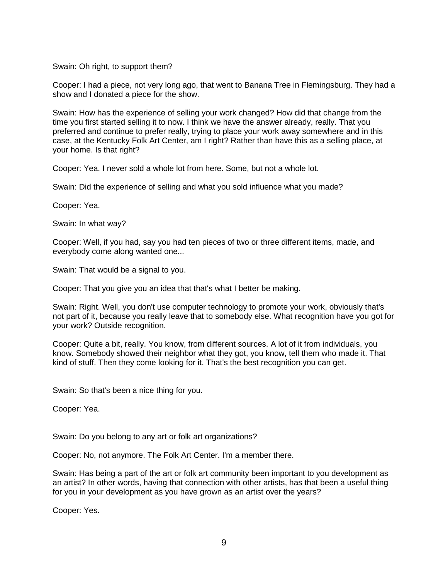Swain: Oh right, to support them?

Cooper: I had a piece, not very long ago, that went to Banana Tree in Flemingsburg. They had a show and I donated a piece for the show.

Swain: How has the experience of selling your work changed? How did that change from the time you first started selling it to now. I think we have the answer already, really. That you preferred and continue to prefer really, trying to place your work away somewhere and in this case, at the Kentucky Folk Art Center, am I right? Rather than have this as a selling place, at your home. Is that right?

Cooper: Yea. I never sold a whole lot from here. Some, but not a whole lot.

Swain: Did the experience of selling and what you sold influence what you made?

Cooper: Yea.

Swain: In what way?

Cooper: Well, if you had, say you had ten pieces of two or three different items, made, and everybody come along wanted one...

Swain: That would be a signal to you.

Cooper: That you give you an idea that that's what I better be making.

Swain: Right. Well, you don't use computer technology to promote your work, obviously that's not part of it, because you really leave that to somebody else. What recognition have you got for your work? Outside recognition.

Cooper: Quite a bit, really. You know, from different sources. A lot of it from individuals, you know. Somebody showed their neighbor what they got, you know, tell them who made it. That kind of stuff. Then they come looking for it. That's the best recognition you can get.

Swain: So that's been a nice thing for you.

Cooper: Yea.

Swain: Do you belong to any art or folk art organizations?

Cooper: No, not anymore. The Folk Art Center. I'm a member there.

Swain: Has being a part of the art or folk art community been important to you development as an artist? In other words, having that connection with other artists, has that been a useful thing for you in your development as you have grown as an artist over the years?

Cooper: Yes.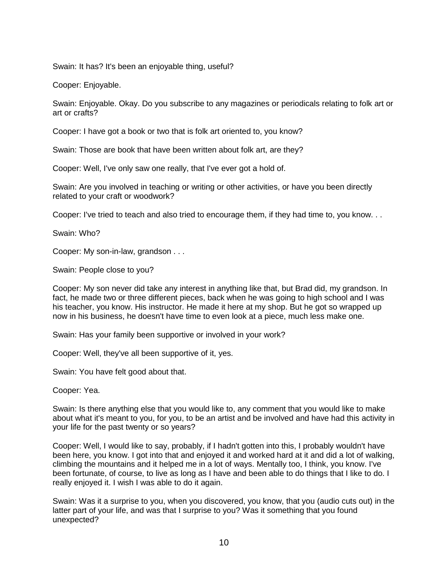Swain: It has? It's been an enjoyable thing, useful?

Cooper: Enjoyable.

Swain: Enjoyable. Okay. Do you subscribe to any magazines or periodicals relating to folk art or art or crafts?

Cooper: I have got a book or two that is folk art oriented to, you know?

Swain: Those are book that have been written about folk art, are they?

Cooper: Well, I've only saw one really, that I've ever got a hold of.

Swain: Are you involved in teaching or writing or other activities, or have you been directly related to your craft or woodwork?

Cooper: I've tried to teach and also tried to encourage them, if they had time to, you know. . .

Swain: Who?

Cooper: My son-in-law, grandson . . .

Swain: People close to you?

Cooper: My son never did take any interest in anything like that, but Brad did, my grandson. In fact, he made two or three different pieces, back when he was going to high school and I was his teacher, you know. His instructor. He made it here at my shop. But he got so wrapped up now in his business, he doesn't have time to even look at a piece, much less make one.

Swain: Has your family been supportive or involved in your work?

Cooper: Well, they've all been supportive of it, yes.

Swain: You have felt good about that.

Cooper: Yea.

Swain: Is there anything else that you would like to, any comment that you would like to make about what it's meant to you, for you, to be an artist and be involved and have had this activity in your life for the past twenty or so years?

Cooper: Well, I would like to say, probably, if I hadn't gotten into this, I probably wouldn't have been here, you know. I got into that and enjoyed it and worked hard at it and did a lot of walking, climbing the mountains and it helped me in a lot of ways. Mentally too, I think, you know. I've been fortunate, of course, to live as long as I have and been able to do things that I like to do. I really enjoyed it. I wish I was able to do it again.

Swain: Was it a surprise to you, when you discovered, you know, that you (audio cuts out) in the latter part of your life, and was that I surprise to you? Was it something that you found unexpected?